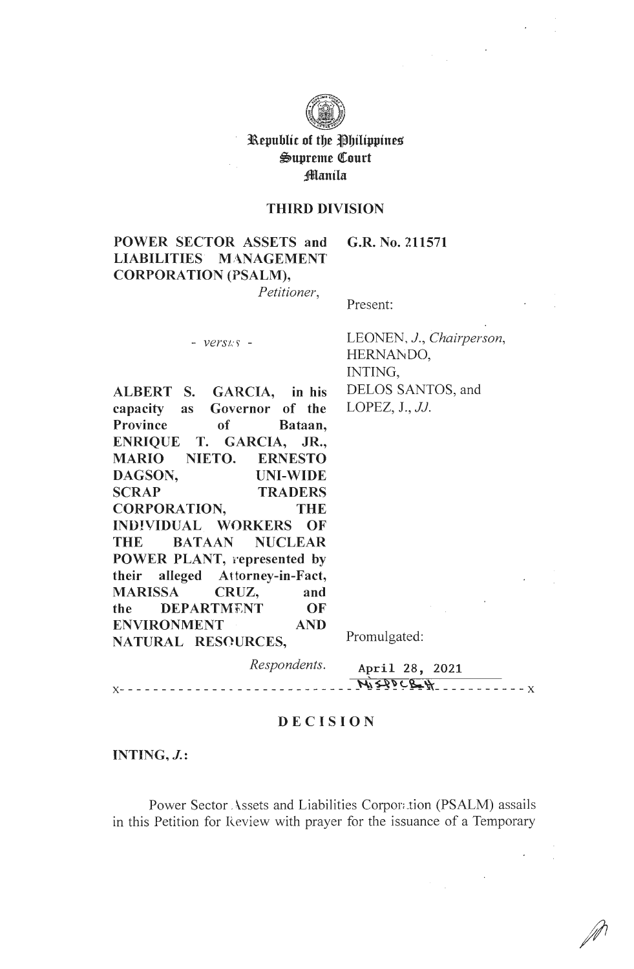

## Republic of the Philippines Supreme Court Manila

### **THIRD DIVISION**

POWER SECTOR ASSETS and G.R. No. 211571 **LIABILITIES MANAGEMENT CORPORATION (PSALM),** 

Petitioner,

Present:

 $- *versus* -$ 

LEONEN, J., Chairperson, HERNANDO, INTING, DELOS SANTOS, and LOPEZ,  $J.$ ,  $JJ.$ 

ALBERT S. GARCIA, in his capacity Governor of the **as** Province of Bataan, ENRIQUE T. GARCIA, JR., NIETO. **MARIO ERNESTO** DAGSON, **UNI-WIDE SCRAP TRADERS CORPORATION, THE INDIVIDUAL WORKERS OF THE BATAAN NUCLEAR** POWER PLANT, represented by their alleged Attorney-in-Fact, **MARISSA** CRUZ, and **DEPARTMENT** OF the **AND ENVIRONMENT** NATURAL RESOURCES,

Promulgated:

Respondents.

April 28, 2021  $M_1 22098 + M$ <u> - - - - - - - - - - - - - - - -</u>

### **DECISION**

INTING,  $J$ .:

 $X - - - - - - - - - - -$ 

Power Sector Assets and Liabilities Corporation (PSALM) assails in this Petition for Review with prayer for the issuance of a Temporary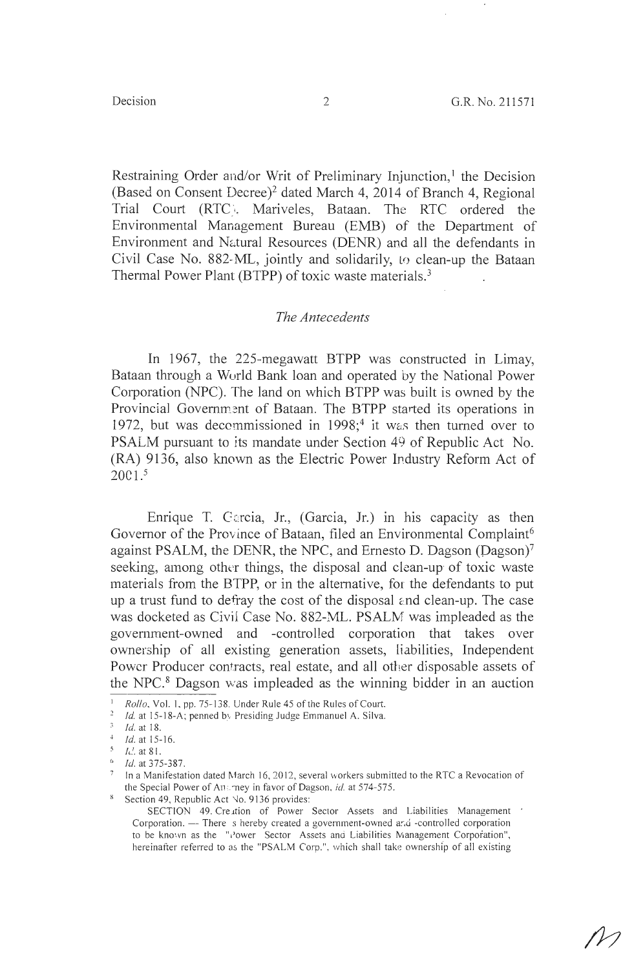Restraining Order and/or Writ of Preliminary Injunction,<sup>1</sup> the Decision (Based on Consent Decree)<sup>2</sup> dated March 4, 2014 of Branch 4, Regional Trial Court (RTC). Mariveles, Bataan. The RTC ordered the Environmental Management Bureau (EMB) of the Department of Environment and Natural Resources (DENR) and all the defendants in Civil Case No. 882-ML, jointly and solidarily, to clean-up the Bataan Thermal Power Plant (BTPP) of toxic waste materials.<sup>3</sup>

## *The Antecedents*

In 1967, the 225-megawatt BTPP was constructed in Limay, Bataan through a Wurld Bank loan and operated by the National Power Corporation (NPC). The land on which BTPP was built is owned by the Provincial Government of Bataan. The BTPP started its operations in 1972, but was decommissioned in  $1998$ ;<sup>4</sup> it was then turned over to PSALM pursuant to its mandate under Section 49 of Republic Act No. (RA) 9136, also known as the Electric Power Industry Reform Act of  $2001.5$ 

Enrique T. Carcia, Jr., (Garcia, Jr.) in his capacity as then Governor of the Province of Bataan, filed an Environmental Complaint<sup>6</sup> against PSALM, the DENR, the NPC, and Ernesto D. Dagson (Dagson)<sup>7</sup> seeking, among other things, the disposal and clean-up of toxic waste materials from the BTPP, or in the alternative, for the defendants to put up a trust fund to defray the cost of the disposal and clean-up. The case was docketed as Civil Case No. 882-ML. PSALM was impleaded as the government-owned and -controlled corporation that takes over ownership of all existing generation assets, liabilities, Independent Power Producer contracts, real estate, and all other disposable assets of the NPC. $8$  Dagson was impleaded as the winning bidder in an auction

<sup>1</sup>*Rollo,* Vol. 1, pp. 75-138. Under Rule 45 of the Rules of Court.

<sup>&</sup>lt;sup>2</sup> *Id.* at 15-18-A; penned by Presiding Judge Emmanuel A. Silva.

<sup>&</sup>lt;sup>3</sup> *Id.* at 18.<br><sup>4</sup> *Id.* at 15-16.

*le!.* at 8 I.

 $\frac{6}{7}$  *Id.* at 375-387.

In a Manifestation dated March 16, 2012, several workers submitted to the RTC a Revocation of the Special Power of An :: *rney in favor of Dagson, id. at 574-575*.

<sup>&</sup>lt;sup>8</sup> Section 49, Republic Act *No.* 9136 provides:

SECTION 49. Creation of Power Sector Assets and Liabilities Management ' Corporation. -- There s hereby created a government-owned and -controlled corporation to be known as the "i'ower Sector Assets and Liabilities Management Corporation", hereinafter referred to as the "PSALM Corp.", which shall take ownership of all existing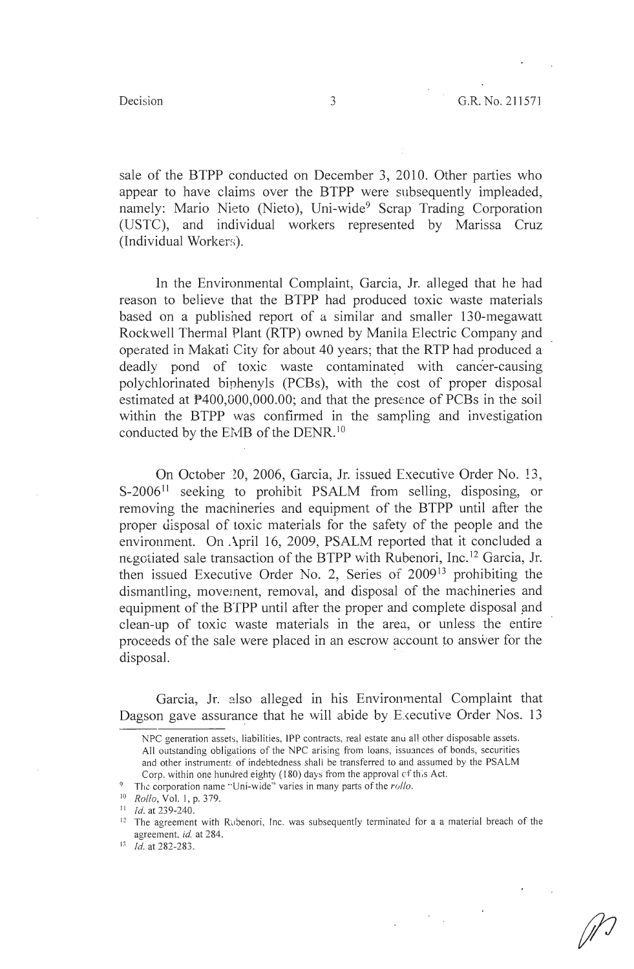sale of the BTPP conducted on December 3, 2010. Other parties who appear to have claims over the BTPP were subsequently impleaded, namely: Mario Nieto (Nieto), Uni-wide<sup>9</sup> Scrap Trading Corporation (USTC), and individual workers represented by Marissa Cruz (Individual Workers).

In the Environmental Complaint, Garcia, Jr. alleged that he had reason to believe that the BTPP had produced toxic waste materials based on a published report of a similar and smaller 130-megawatt Rockwell Thermal Plant (RTP) owned by Manila Electric Company and operated in Makati City for about 40 years; that the RTP had produced a deadly pond of toxic waste contaminated with cancer-causing polychlorinated biphenyls (PCBs), with the cost of proper disposal estimated at P400,000,000.00; and that the presence of PCBs in the soil within the BTPP was confirmed in the sampling and investigation conducted by the EMB of the DENR.<sup>10</sup>

On October *W,* 2006, Garcia, Jr. issued Executive Order No. l3, S-2006<sup>11</sup> seeking to prohibit PSALM from selling, disposing, or removing the machineries and equipment of the BTPP until after the proper disposal of toxic materials for the safety of the people and the environment. On April 16, 2009, PSALM reported that it concluded a negotiated sale transaction of the BTPP with Rubenori, Inc.<sup>12</sup> Garcia, Jr. then issued Executive Order No. 2, Series of  $2009<sup>13</sup>$  prohibiting the dismantling, movement, removal, and disposal of the machineries and equipment of the BTPP until after the proper and complete disposal and clean-up of toxic waste materials in the area, or unless the entire proceeds of the sale were placed in an escrow account to answer for the disposal.

Garcia, Jr. also alleged in his Environmental Complaint that Dagson gave assurance that he will abide by Executive Order Nos. 13

NPC generation assets, liabilities, IPP contracts, real estate anu al! other disposable assets. All outstanding obligations of the NPC arising from loans, issuances of bonds, securities and other instruments of indebtedness shall be transferred to and assumed by the PSALM Corp. within one hundred eighty  $(180)$  days from the approval  $cf$  this Act.

<sup>9</sup> The corporation name "Uni-wide" varies in many parts of the *rollo.* 

<sup>10</sup>*Rollo,* Vol. I, p. 379.

<sup>11</sup> Id. at 239-240.

 $12$  The agreement with Rubenori, Inc. was subsequently terminated for a a material breach of the agreement, *id.* at 284.

 $13$  *Id.* at 282-283.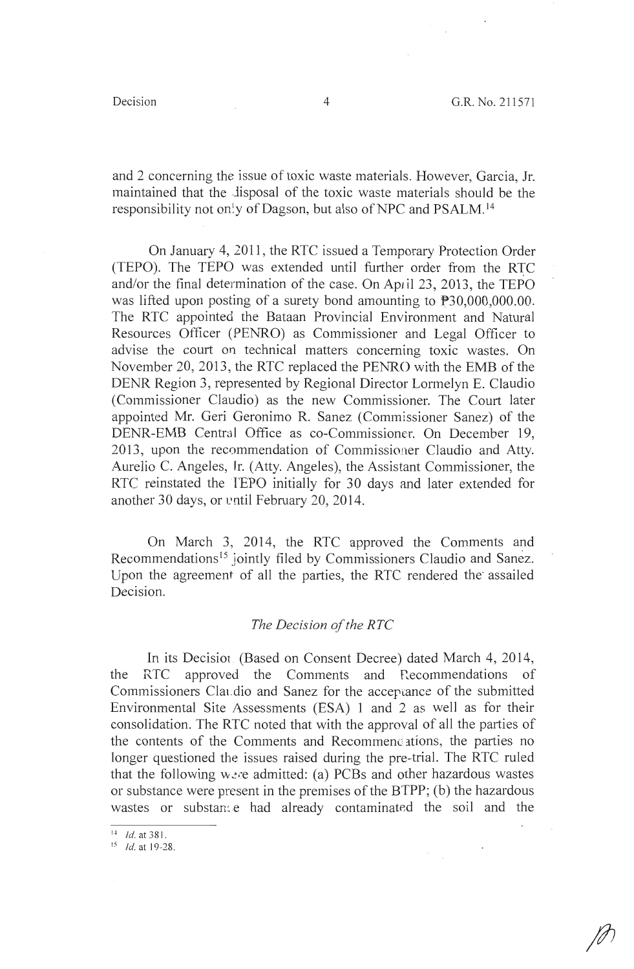and 2 concerning the issue of toxic waste materials. However, Garcia, Jr. maintained that the lisposal of the toxic waste materials should be the responsibility not only of Dagson, but also of NPC and PSALM.<sup>14</sup>

On January 4, 2011, the RTC issued a Temporary Protection Order (TEPO). The TEPO was extended until further order from the RTC and/or the final determination of the case. On April 23, 2013, the TEPO was lifted upon posting of a surety bond amounting to  $P30,000,000.00$ . The RTC appointed the Bataan Provincial Environment and Natural Resources Officer (PENRO) as Commissioner and Legal Officer to advise the court on technical matters concerning toxic wastes. On November 20, 2013, the RTC replaced the PENRO with the EMB of the DENR Region 3, represented by Regional Director Lormelyn E. Claudio (Commissioner Claudio) as the new Commissioner. The Court later appointed Mr. Geri Geronimo R. Sanez (Commissioner Sanez) of the DENR-EMB Central Office as co-Commissioner. On December 19, 2013, upon the recommendation of Commissioner Claudio and Atty. Aurelio C. Angeles, fr. (Atty. Angeles), the Assistant Commissioner, the RTC reinstated the TEPO initially for 30 days and later extended for another 30 days, or until February 20, 2014.

On March 3, 2014, the RTC approved the Comments and Recommendations<sup>15</sup> jointly filed by Commissioners Claudio and Sanez. Upon the agreement of all the parties, the RTC rendered the· assailed Decision.

## *The Decision of the RTC*

In its Decisiot (Based on Consent Decree) dated March 4, 2014, the RTC approved the Comments and Recommendations of Commissioners Claudio and Sanez for the acceptance of the submitted Environmental Site Assessments (ESA) 1 and 2 as well as for their consolidation. The RTC noted that with the approval of all the parties of the contents of the Comments and Recommendations, the parties no longer questioned the issues raised during the pre-trial. The RTC ruled that the following were admitted: (a) PCBs and other hazardous wastes or substance were present in the premises of the BTPP; (b) the hazardous wastes or substance had already contaminated the soil and the

 $14$  *Id.* at 381.

 $^{15}$  *Id.* at 19-28.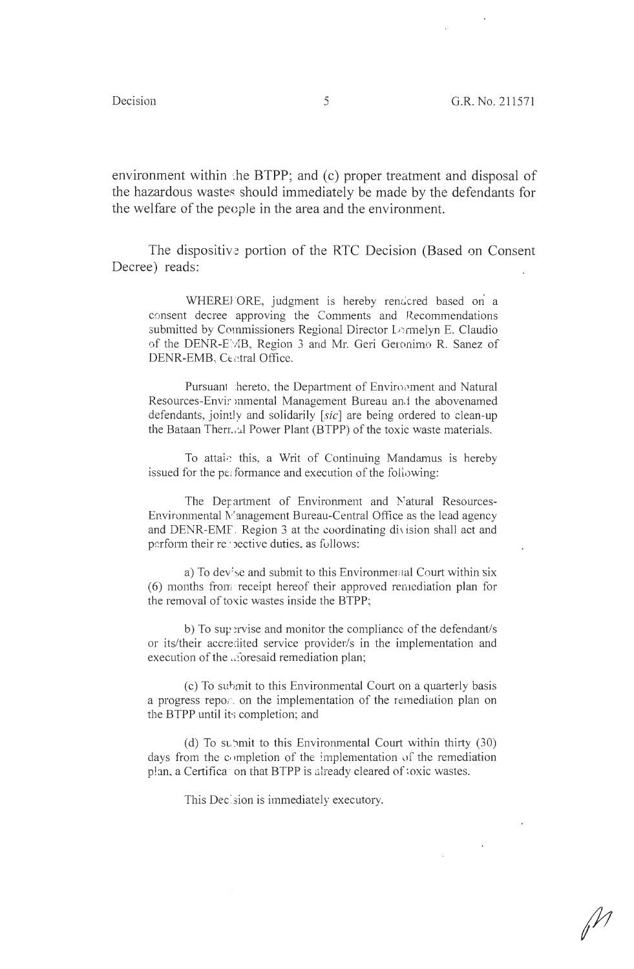environment within the BTPP; and  $(c)$  proper treatment and disposal of the hazardous wastes should immediately be made by the defendants for the welfare of the people in the area and the environment.

The dispositive portion of the RTC Decision (Based on Consent Decree) reads:

WHEREJ ORE, judgment is hereby rendcred based on a consent decree approving the Comments and Recommendations submitted by Commissioners Regional Director Lormelyn E. Claudio of the DENR-EMB, Region 3 and Mr. Geri Geronimo R. Sanez of DENR-EMB, Central Office.

Pursuant hereto, the Department of Environment and Natural Resources-Envir mmental Management Bureau an.1 the abovenamed defendants, jointly and solidarily [sic] are being ordered to clean-up the Bataan Thermial Power Plant (BTPP) of the toxic waste materials.

To attain this, a Writ of Continuing Mandamus is hereby issued for the performance and execution of the following:

The Department of Environment and Natural Resources-Environmental Management Bureau-Central Office as the lead agency and DENR-EMF. Region 3 at the coordinating division shall act and perform their recoective duties, as follows:

a) To dev: se and submit to this Environmental Court within six (6) months from receipt hereof their approved remediation plan for the removal of toxic wastes inside the BTPP;

b) To supervise and monitor the compliance of the defendant/s or its/their accredited service provider/s in the implementation and execution of the aforesaid remediation plan;

(c) To submit to this Environmental Court on a quarterly basis a progress reportion the implementation of the remediation plan on the BTPP until its completion; and

(d) To submit to this Environmental Court within thirty  $(30)$ days from the completion of the implementation of the remediation plan, a Certifica on that BTPP is already cleared of toxic wastes.

This Decision is immediately executory.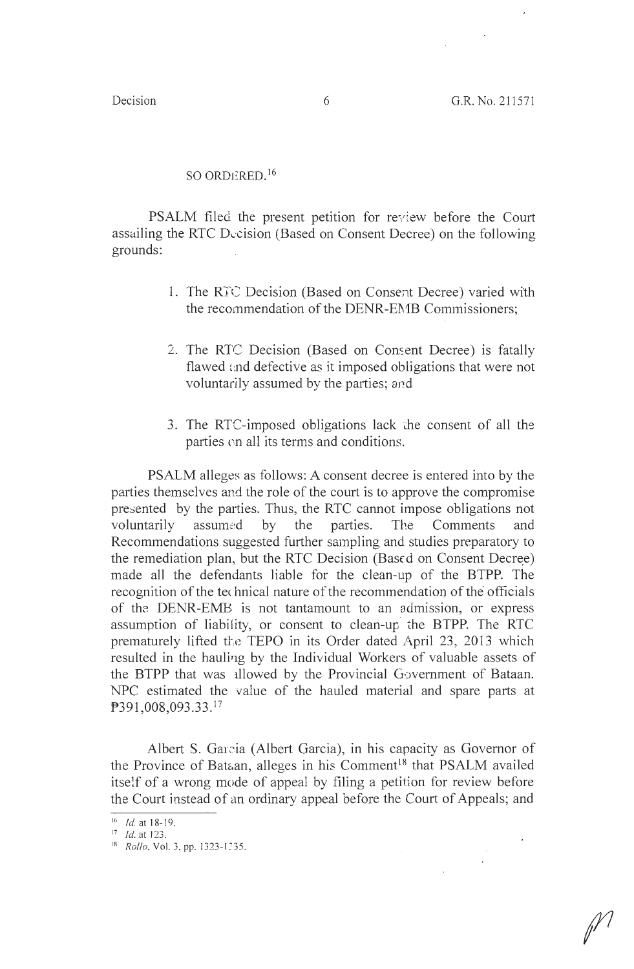## SO ORDERED.  $16$

PSALM filed the present petition for review before the Court assailing the RTC Decision (Based on Consent Decree) on the following grounds:

- 1. The RI'C Decision (Based on Consent Decree) varied with the recommendation of the DENR-EMB Commissioners;
- 2. The RTC Decision (Based on Consent Decree) is fatally flawed and defective as it imposed obligations that were not voluntarily assumed by the parties; and
- 3. The RTC-imposed obligations lack the consent of all the parties on all its terms and conditions.

PSALM alleges as follows: A consent decree is entered into by the parties themselves and the role of the court is to approve the compromise presented by the parties. Thus, the RTC cannot impose obligations not voluntarily assumed by the parties. The Comments and Recommendations suggested further sampling and studies preparatory to the remediation plan, but the RTC Decision (Based on Consent Decree) made all the defendants liable for the clean-up of the BTPP. The recognition of the technical nature of the recommendation of the officials of the DENR-EMB is not tantamount to an admission, or express assumption of liability, or consent to clean-up the BTPP. The RTC prematurely lifted the TEPO in its Order dated April 23, 2013 which resulted in the hauling by the Individual Workers of valuable assets of the BTPP that was 1llowed by the Provincial Government of Bataan. NPC estimated the value of the hauled material and spare parts at P391,008,093.33.<sup>17</sup>

Albert S. Garcia (Albert Garcia), in his capacity as Governor of the Province of Bataan, alleges in his Comment<sup>18</sup> that PSALM availed itself of a wrong mode of appeal by filing a petition for review before the Court instead of an ordinary appeal before the Court of Appeals; and

<sup>&</sup>lt;sup>16</sup> *Id.* at 18-19.

 $17$  *Id.* at 123.

<sup>18</sup> *Rollo*, Vol. 3, pp. 1323-1335.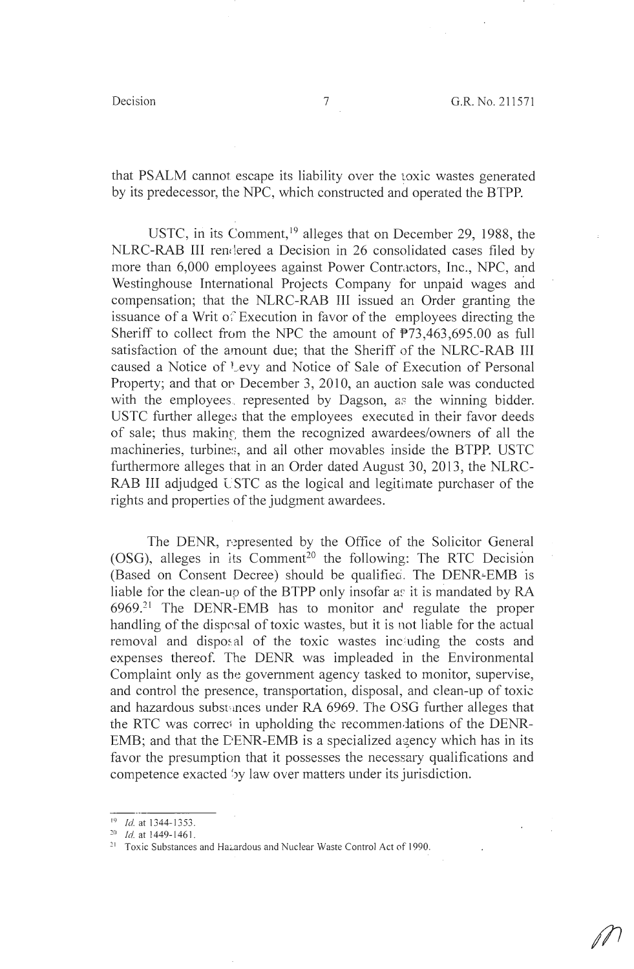that PSALM cannot escape its liability over the toxic wastes generated by its predecessor, the NPC, which constructed and operated the BTPP.

USTC, in its Comment,  $19$  alleges that on December 29, 1988, the NLRC-RAB III rendered a Decision in 26 consolidated cases filed by more than 6,000 employees against Power Contractors, Inc., NPC, and Westinghouse International Projects Company for unpaid wages and compensation; that the NLRC-RAB III issued an Order granting the issuance of a Writ of Execution in favor of the employees directing the Sheriff to collect from the NPC the amount of  $\overline{P}$ 73,463,695.00 as full satisfaction of the amount due; that the Sheriff of the NLRC-RAB III caused a Notice of Levy and Notice of Sale of Execution of Personal Property; and that or. December 3, 2010, an auction sale was conducted with the employees, represented by Dagson, as the winning bidder. USTC further alleges that the employees executed in their favor deeds of sale; thus making them the recognized awardees/owners of all the machineries, turbines, and all other movables inside the BTPP. USTC furthermore alleges that in an Order dated August 30, 2013, the NLRC-RAB III adjudged USTC as the logical and legitimate purchaser of the rights and properties of the judgment awardees.

The DENR, represented by the Office of the Solicitor General (OSG), alleges in its Comment<sup>20</sup> the following: The RTC Decision (Based on Consent Decree) should be qualified. The DENR-EMB is liable for the clean-up of the BTPP only insofar as it is mandated by  $RA$  $6969.^{21}$  The DENR-EMB has to monitor and regulate the proper handling of the disposal of toxic wastes, but it is not liable for the actual removal and disposal of the toxic wastes including the costs and expenses thereof. The DENR was impleaded in the Environmental Complaint only as the government agency tasked to monitor, supervise, and control the presence, transportation, disposal, and clean-up of toxic and hazardous substances under RA 6969. The OSG further alleges that the RTC was correct in upholding the recommen lations of the DENR-EMB; and that the DENR-EMB is a specialized agency which has in its favor the presumption that it possesses the necessary qualifications and competence exacted 'by law over matters under its jurisdiction.

<sup>&</sup>lt;sup>19</sup> *Id.* at 1344-1353.<br><sup>20</sup> *Id.* at 1449-1461.

<sup>&</sup>lt;sup>21</sup> Toxic Substances and Hazardous and Nuclear Waste Control Act of 1990.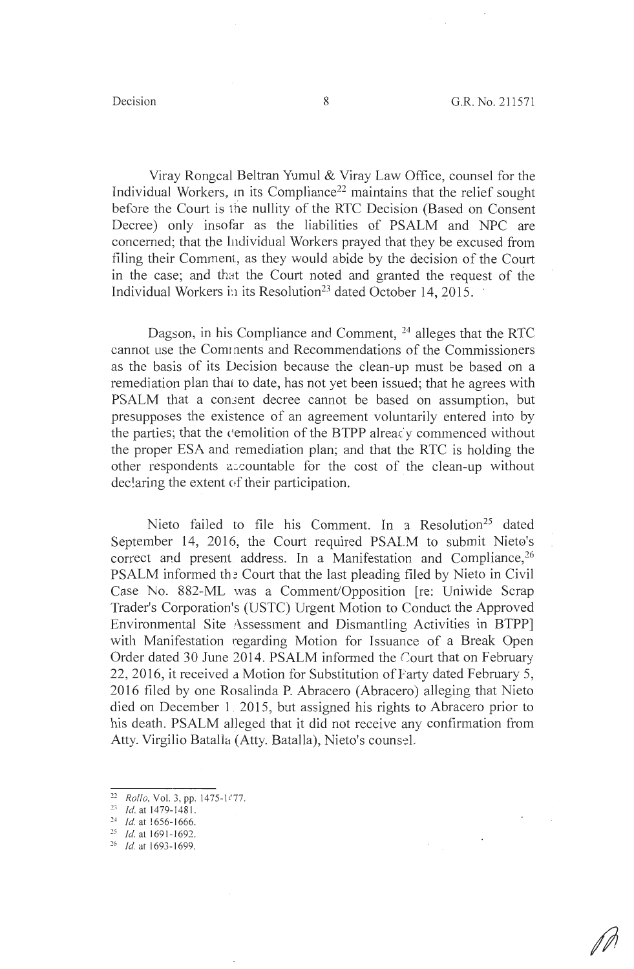Viray Rongcal Beltran Yumul & Viray Law Office, counsel for the Individual Workers, in its Compliance<sup>22</sup> maintains that the relief sought before the Court is the nullity of the RTC Decision (Based on Consent Decree) only insofar as the liabilities of PSALM and NPC are concerned; that the Individual Workers prayed that they be excused from filing their Comment, as they would abide by the decision of the Court in the case; and that the Court noted and granted the request of the Individual Workers in its Resolution<sup>23</sup> dated October 14, 2015.

Dagson, in his Compliance and Comment, <sup>24</sup> alleges that the RTC cannot use the Com1 nents and Recommendations of the Commissioners as the basis of its Decision because the clean-up must be based on a remediation plan that to date, has not yet been issued; that he agrees with PSALM that a consent decree cannot be based on assumption, but presupposes the existence of an agreement voluntarily entered into by the parties; that the cemolition of the BTPP alreacy commenced without the proper ESA and remediation plan; and that the RTC is holding the other respondents accountable for the cost of the clean-up without declaring the extent of their participation.

Nieto failed to file his Comment. In a Resolution<sup>25</sup> dated September 14, 2016, the Court required PSALM to submit Nieto's correct and present address. In a Manifestation and Compliance,<sup>26</sup> PSALM informed the Court that the last pleading filed by Nieto in Civil Case No. 882-ML was a Comment/Opposition [re: Uniwide Scrap Trader's Corporation's (USTC) Urgent Motion to Conduct the Approved Environmental Site Assessment and Dismantling Activities in BTPP] with Manifestation regarding Motion for Issuance of a Break Open Order dated 30 June 2014. PSALM informed the Court that on February 22, 2016, it received a Motion for Substitution of Farty dated February 5, 2016 filed by one Rosalinda P. Abracero (Abracero) alleging that Nieto died on December L 2015, but assigned his rights to Abracero prior to his death. PSALM alleged that it did not receive any confirmation from Atty. Virgilio Batalla (Atty. Batalla), Nieto's counsel.

*<sup>22</sup>Rollo,* **Vol. 3, pp. 1475-J t 77.** 

 $23$  *Id.* at 1479-1481.

<sup>&</sup>lt;sup>24</sup> *Id.* at 1656-1666.<br><sup>25</sup> *Id.* at 1691-1692.

<sup>&</sup>lt;sup>26</sup> *Id.* at 1693-1699.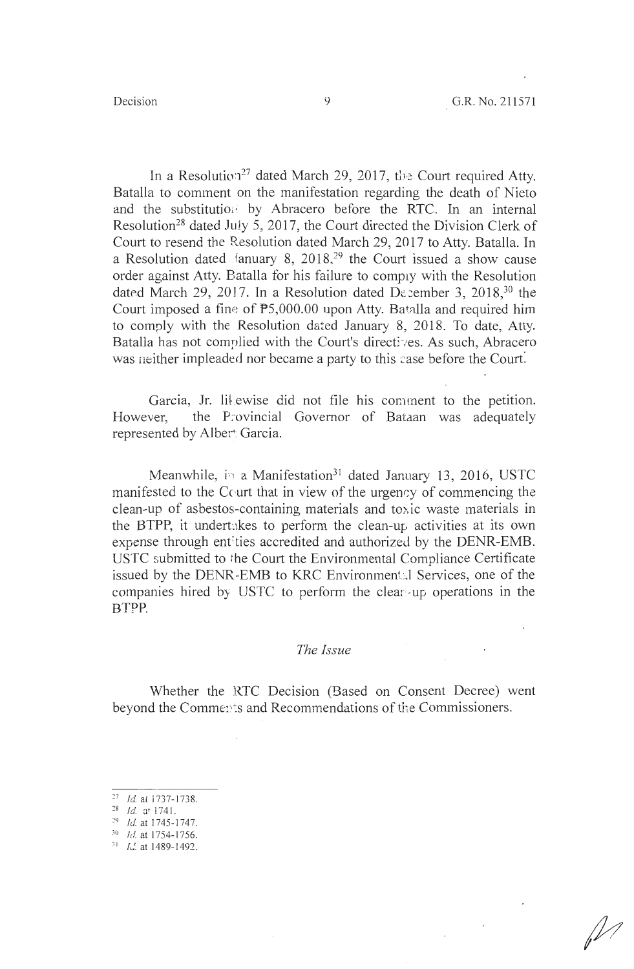In a Resolution<sup>27</sup> dated March 29, 2017, the Court required Atty. Batalla to comment on the manifestation regarding the death of Nieto and the substitution by Abracero before the RTC. In an internal Resolution<sup>28</sup> dated July 5, 2017, the Court directed the Division Clerk of Court to resend the Resolution dated March 29, 2017 to Atty. Batalla. In a Resolution dated .fanuary 8, 2018,<sup>29</sup> the Court issued a show cause order against Atty. Batalla for his failure to comply with the Resolution dated March 29, 2017. In a Resolution dated De ember 3, 2018,  $30$  the Court imposed a fine of  $P5,000.00$  upon Atty. Batalla and required him to comply with the Resolution dated January 8, 2018. To date, Atty. Batalla has not complied with the Court's directives. As such, Abracero was neither impleaded nor became a party to this case before the Court.

Garcia, Jr. likewise did not file his comment to the petition. However, the Provincial Governor of Bataan was adequately represented by Alber: Garcia.

Meanwhile, in a Manifestation<sup>31</sup> dated January 13, 2016, USTC manifested to the Court that in view of the urgency of commencing the  $clean-up$  of asbestos-containing materials and toxic waste materials in the BTPP, it undertakes to perform the clean-up activities at its own expense through entities accredited and authorized by the DENR-EMB. USTC submitted to the Court the Environmental Compliance Certificate issued by the DENR-EMB to KRC Environmental Services, one of the companies hired by USTC to perform the clear-up operations in the BTPP.

### *The Issue*

Whether the RTC Decision (Based on Consent Decree) went beyond the Comments and Recommendations of the Commissioners.

- 
- $29$  Id. at 1745-1747.
- *<sup>30</sup>*Id. at 1754-1756.
- $\frac{31}{16}$  *I*. at 1489-1492.

 $^{27}$  Id. at 1737-1738.<br> $^{28}$  Id. at 1741.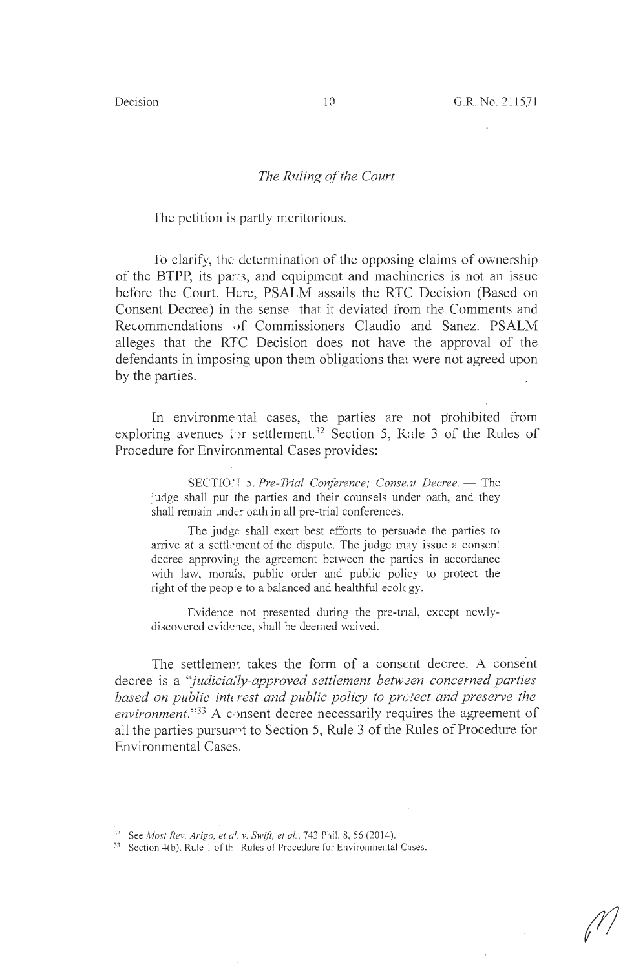#### *The Ruling of the Court*

The petition is partly meritorious.

To clarify, the determination of the opposing claims of ownership of the BTPP, its parts, and equipment and machineries is not an issue before the Court. Here, PSALM assails the RTC Decision (Based on Consent Decree) in the sense that it deviated from the Comments and Recommendations nf Commissioners Claudio and Sanez. PSALM alleges that the RTC Decision does not have the approval of the defendants in imposing upon them obligations that were not agreed upon by the parries.

In environmental cases, the parties are not prohibited from exploring avenues in settlement.<sup>32</sup> Section 5, Rule 3 of the Rules of Procedure for Environmental Cases provides:

SECTION 5. Pre-Trial Conference; Consent Decree. - The judge shall put the parties and their counsels under oath, and they shall remain under oath in all pre-trial conferences.

The judge shall exert best efforts to persuade the parties to arrive at a settlement of the dispute. The judge may issue a consent decree approving the agreement between the parties in accordance with law, morals, public order and public policy to protect the right of the people to a balanced and healthful ecology.

Evidence not presented during the pre-tnal, except newlydiscovered evidence, shall be deemed waived.

The settlement takes the form of a consent decree. A consent decree is a "*judicially-approved settlement between concerned parties based on public interest and public policy to protect and preserve the environment.*"<sup>33</sup> A consent decree necessarily requires the agreement of all the parties pursuant to Section 5, Rule 3 of the Rules of Procedure for Environmental Cases.

<sup>&</sup>lt;sup>32</sup> See *Most Rev. Arigo, et al. v. Swift, et al.*, 743 Phil. 8, 56 (2014).<br><sup>33</sup> Section 4(b), Rule 1 of th Rules of Procedure for Environmental Cases.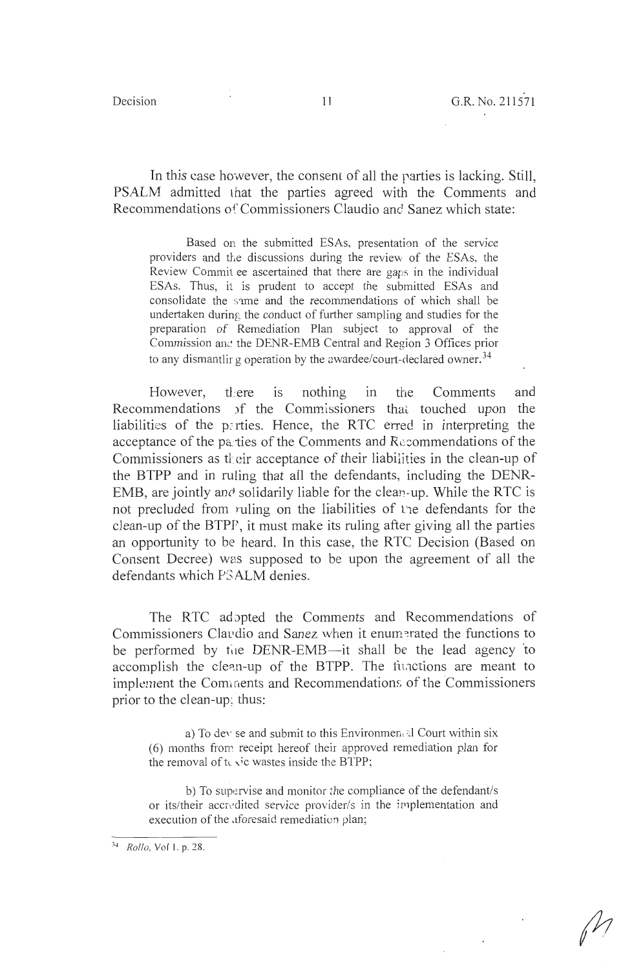In this case however, the consem of all the parties is lacking. Still, PSALM admitted that the parties agreed with the Comments and Recommendations of Commissioners Claudio and Sanez which state:

Based on the submitted ESAs, presentation of the service providers and the discussions during the review of the ESAs, the Review Commit ee ascertained that there are gaps in the individual ESAs. Thus, it is prudent to accept the submitted ESAs and consolidate the same and the recommendations of which shall be undertaken during the conduct of further sampling and studies for the preparation of Remediation Plan subject to approval of the Commission and the DENR-EMB Central and Region 3 Offices prior to any dismantlir g operation by the awardee/court-declared owner.<sup>34</sup>

However, there is nothing in the Comments and Recommendations )f the Commissioners that touched upon the liabilities of the parties. Hence, the RTC erred in interpreting the acceptance of the parties of the Comments and Recommendations of the Commissioners as their acceptance of their liabilities in the clean-up of the BTPP and in ruling that all the defendants, including the DENR-EMB, are jointly and solidarily liable for the clean-up. While the RTC is not precluded from ruling on the liabilities of L'1e defendants for the clean-up of the BTPP, it must make its ruling after giving all the parties an opportunity to be heard. In this case, the RTC Decision (Based on Consent Decree) was supposed to be upon the agreement of all the defendants which P<sub>3</sub>ALM denies.

The RTC adopted the Comments and Recommendations of Commissioners Claudio and Sanez when it enumerated the functions to be performed by the DENR-EMB--it shall be the lead agency to accomplish the clean-up of the BTPP. The functions are meant to implement the Comments and Recommendations of the Commissioners prior to the clean-up:. thus:

a) To dev se and submit to this Environmen al Court within six (6) months from receipt hereof their approved remediation plan for the removal of  $t \leq t$  wastes inside the BTPP;

b) To supervise and monitor the compliance of the defendant/s or its/their accredited service provider/s in the implementation and execution of the aforesaid remediation plan;

<sup>34</sup> *Rollo,* Vol I. p. 28.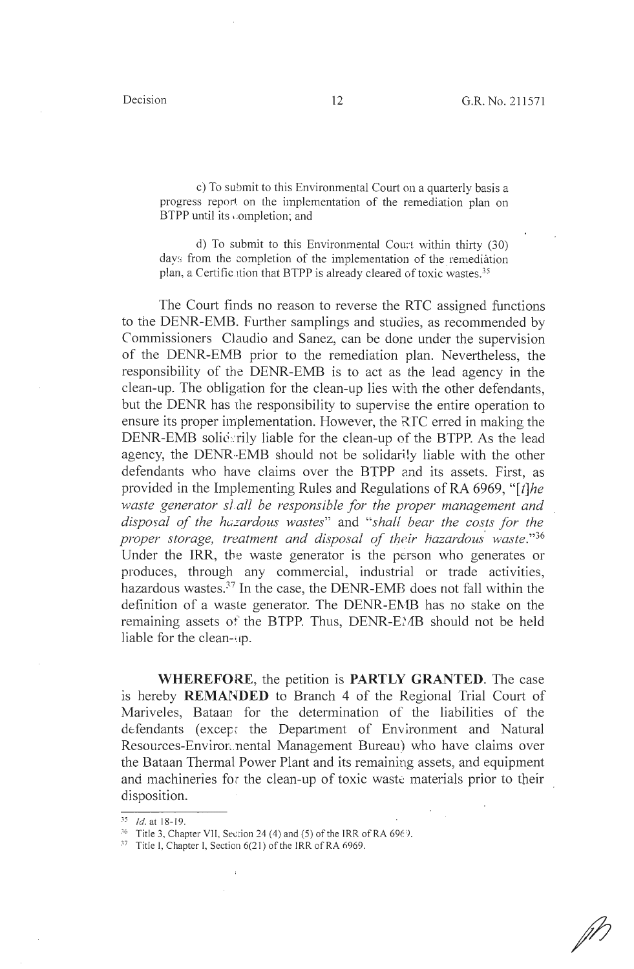c) To submit to this Environmental Court on a quarterly basis a progress report on the implementation of the remediation plan on BTPP until its completion; and

d) To submit to this Environmental Court within thirty  $(30)$ days from the completion of the implementation of the remediation plan, a Certification that BTPP is already cleared of toxic wastes.<sup>35</sup>

The Court finds no reason to reverse the RTC assigned functions to the DENR-EMB. Further samplings and studies, as recommended by Commissioners Claudio and Sanez, can be done under the supervision of the DENR-EMB prior to the remediation plan. Nevertheless, the responsibility of the DENR-EMB is to act as the lead agency in the clean-up. The obligation for the clean-up lies with the other defendants, but the DENR has the responsibility to supervise the entire operation to ensure its proper implementation. However, the RfC erred in making the DENR-EMB soliderily liable for the clean-up of the BTPP. As the lead agency, the DENR-EMB should not be solidarily liable with the other defendants who have claims over the BTPP and its assets. First, as provided in the Implementing Rules and Regulations of RA 6969, *"[t]he waste generator slall be responsible for the proper management and disposal of the hazardous wastes"* and *"shall bear the costs for the proper storage, treatment and disposal of their hazardous· waste."36*  Under the IRR, the waste generator is the person who generates or produces, through any commercial, industrial or trade activities, hazardous wastes.<sup>37</sup> In the case, the DENR-EMB does not fall within the definition of a waste generator. The DENR-EMB has no stake on the remaining assets of the BTPP. Thus, DENR-E}AB should not be held liable for the clean-up.

**WHEREFORE,** the petition is **PARTLY GRANTED.** The case is hereby **REMANDED** to Branch 4 of the Regional Trial Court of Mariveles, Bataan for the determination of the liabilities of the defendants (except the Department of Environment and Natural Resources-Environ.nental Management Bureau) who have claims over the Bataan Thermal Power Plant and its remaining assets, and equipment and machineries for the clean-up of toxic waste materials prior to their disposition.

 $\frac{35}{35}$ *Id.* at 18-19.<br><sup>36</sup> Title 3, Chapter VII, Section 24 (4) and (5) of the IRR of RA 6969.

 $37$  Title I, Chapter I, Section  $6(21)$  of the IRR of RA 6969.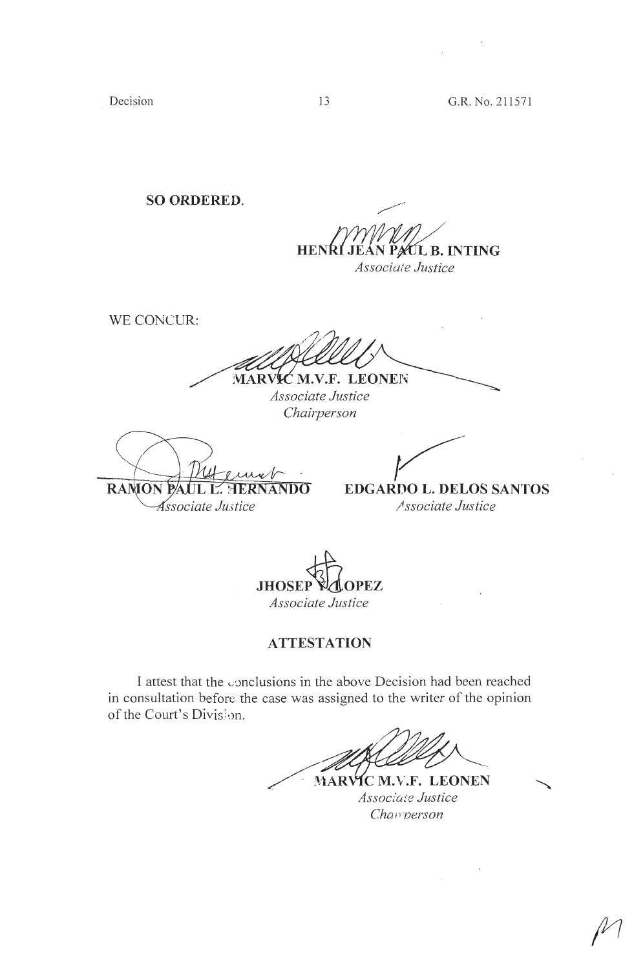Decision

**SO ORDERED.** 

PAUL B. INTING **HENRI** Associate Justice

WE CONCUR:

MARVIC M.V.F. LEONEN

Associate Justice Chairperson

**RAMON**  $\overline{\text{NDO}}$ *Associate Justice* 

**EDGARDO L. DELOS SANTOS** 

Associate Justice

**JHOSEP** PEZ Associate Justice

# **ATTESTATION**

I attest that the conclusions in the above Decision had been reached in consultation before the case was assigned to the writer of the opinion of the Court's Division.

MARVIC M.V.F. LEONEN

Associate Justice Chav person

13